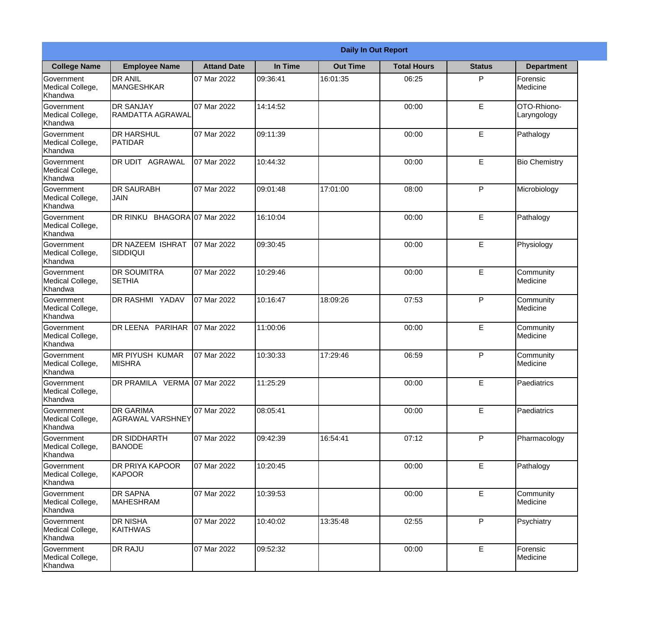|                                                  | <b>Daily In Out Report</b>                  |                    |          |                 |                    |               |                              |  |
|--------------------------------------------------|---------------------------------------------|--------------------|----------|-----------------|--------------------|---------------|------------------------------|--|
| <b>College Name</b>                              | <b>Employee Name</b>                        | <b>Attand Date</b> | In Time  | <b>Out Time</b> | <b>Total Hours</b> | <b>Status</b> | <b>Department</b>            |  |
| Government<br>Medical College,<br>Khandwa        | <b>DR ANIL</b><br><b>MANGESHKAR</b>         | 07 Mar 2022        | 09:36:41 | 16:01:35        | 06:25              | P             | Forensic<br>Medicine         |  |
| Government<br>Medical College,<br>Khandwa        | <b>DR SANJAY</b><br>RAMDATTA AGRAWAL        | 07 Mar 2022        | 14:14:52 |                 | 00:00              | E             | OTO-Rhiono-<br>Laryngology   |  |
| <b>Government</b><br>Medical College,<br>Khandwa | <b>I</b> DR HARSHUL<br>IPATIDAR             | 07 Mar 2022        | 09:11:39 |                 | 00:00              | E             | Pathalogy                    |  |
| Government<br>Medical College,<br>Khandwa        | DR UDIT AGRAWAL                             | 07 Mar 2022        | 10:44:32 |                 | 00:00              | E             | <b>Bio Chemistry</b>         |  |
| Government<br>Medical College,<br>Khandwa        | <b>DR SAURABH</b><br><b>JAIN</b>            | 07 Mar 2022        | 09:01:48 | 17:01:00        | 08:00              | P             | Microbiology                 |  |
| Government<br>Medical College,<br>Khandwa        | DR RINKU BHAGORA 07 Mar 2022                |                    | 16:10:04 |                 | 00:00              | E             | Pathalogy                    |  |
| Government<br>Medical College,<br>Khandwa        | DR NAZEEM ISHRAT<br>SIDDIQUI                | 07 Mar 2022        | 09:30:45 |                 | 00:00              | E             | Physiology                   |  |
| Government<br>Medical College,<br>Khandwa        | <b>DR SOUMITRA</b><br><b>SETHIA</b>         | 07 Mar 2022        | 10:29:46 |                 | 00:00              | E             | Community<br>Medicine        |  |
| Government<br>Medical College,<br>Khandwa        | <b>DR RASHMI YADAV</b>                      | 07 Mar 2022        | 10:16:47 | 18:09:26        | 07:53              | P             | Community<br>Medicine        |  |
| Government<br>Medical College,<br>Khandwa        | DR LEENA PARIHAR                            | 07 Mar 2022        | 11:00:06 |                 | 00:00              | E             | Community<br><b>Medicine</b> |  |
| Government<br>Medical College,<br>Khandwa        | IMR PIYUSH KUMAR<br><b>MISHRA</b>           | 07 Mar 2022        | 10:30:33 | 17:29:46        | 06:59              | P             | Community<br>Medicine        |  |
| Government<br>Medical College,<br>Khandwa        | DR PRAMILA VERMA 07 Mar 2022                |                    | 11:25:29 |                 | 00:00              | E             | Paediatrics                  |  |
| Government<br>Medical College,<br>Khandwa        | <b>DR GARIMA</b><br><b>AGRAWAL VARSHNEY</b> | 07 Mar 2022        | 08:05:41 |                 | 00:00              | E             | Paediatrics                  |  |
| <b>Government</b><br>Medical College,<br>Khandwa | <b>DR SIDDHARTH</b><br><b>BANODE</b>        | 07 Mar 2022        | 09:42:39 | 16:54:41        | 07:12              | P             | Pharmacology                 |  |
| Government<br>Medical College,<br>Khandwa        | <b>DR PRIYA KAPOOR</b><br><b>KAPOOR</b>     | 07 Mar 2022        | 10:20:45 |                 | 00:00              | E             | Pathalogy                    |  |
| Government<br>Medical College,<br>Khandwa        | <b>DR SAPNA</b><br><b>MAHESHRAM</b>         | 07 Mar 2022        | 10:39:53 |                 | 00:00              | $\mathsf E$   | Community<br>Medicine        |  |
| Government<br>Medical College,<br>Khandwa        | <b>DR NISHA</b><br>KAITHWAS                 | 07 Mar 2022        | 10:40:02 | 13:35:48        | 02:55              | P             | Psychiatry                   |  |
| Government<br>Medical College,<br>Khandwa        | <b>DR RAJU</b>                              | 07 Mar 2022        | 09:52:32 |                 | 00:00              | E             | Forensic<br>Medicine         |  |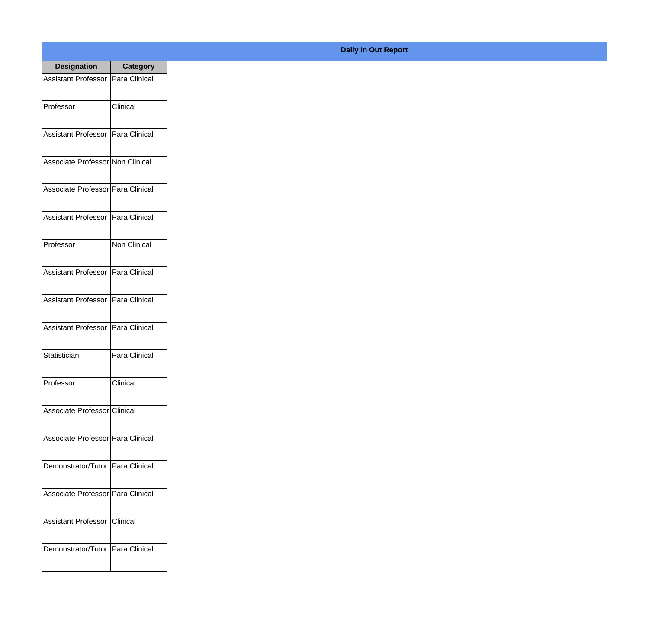| <b>Designation</b>                  | <b>Category</b>     |
|-------------------------------------|---------------------|
| Assistant Professor   Para Clinical |                     |
| Professor                           | Clinical            |
| Assistant Professor   Para Clinical |                     |
| Associate Professor Non Clinical    |                     |
| Associate Professor   Para Clinical |                     |
| Assistant Professor   Para Clinical |                     |
| Professor                           | <b>Non Clinical</b> |
| Assistant Professor   Para Clinical |                     |
| Assistant Professor   Para Clinical |                     |
| <b>Assistant Professor</b>          | Para Clinical       |
| Statistician                        | Para Clinical       |
| Professor                           | Clinical            |
| Associate Professor Clinical        |                     |
| Associate Professor Para Clinical   |                     |
| Demonstrator/Tutor   Para Clinical  |                     |
| Associate Professor   Para Clinical |                     |
| <b>Assistant Professor</b>          | Clinical            |
| Demonstrator/Tutor   Para Clinical  |                     |

## **Daily In Out Report**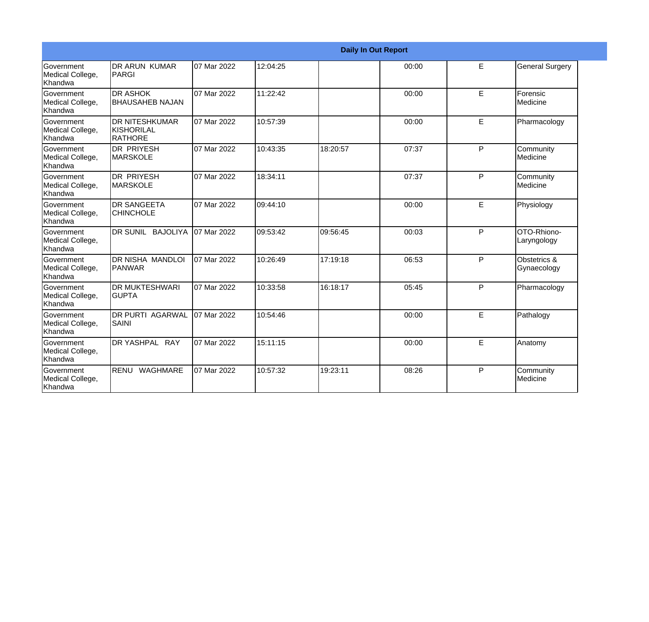|                                           | <b>Daily In Out Report</b>                      |             |           |          |       |   |                              |  |
|-------------------------------------------|-------------------------------------------------|-------------|-----------|----------|-------|---|------------------------------|--|
| Government<br>Medical College,<br>Khandwa | IDR ARUN KUMAR<br>PARGI                         | 07 Mar 2022 | 12:04:25  |          | 00:00 | E | <b>General Surgery</b>       |  |
| Government<br>Medical College,<br>Khandwa | <b>DR ASHOK</b><br><b>BHAUSAHEB NAJAN</b>       | 07 Mar 2022 | 11:22:42  |          | 00:00 | E | Forensic<br>Medicine         |  |
| Government<br>Medical College,<br>Khandwa | <b>DR NITESHKUMAR</b><br>KISHORILAL<br>IRATHORE | 07 Mar 2022 | 10:57:39  |          | 00:00 | E | Pharmacology                 |  |
| Government<br>Medical College,<br>Khandwa | <b>DR PRIYESH</b><br><b>MARSKOLE</b>            | 07 Mar 2022 | 10:43:35  | 18:20:57 | 07:37 | P | Community<br><b>Medicine</b> |  |
| Government<br>Medical College,<br>Khandwa | <b>DR PRIYESH</b><br><b>MARSKOLE</b>            | 07 Mar 2022 | 18:34:11  |          | 07:37 | P | Community<br>Medicine        |  |
| Government<br>Medical College,<br>Khandwa | <b>DR SANGEETA</b><br><b>CHINCHOLE</b>          | 07 Mar 2022 | 109:44:10 |          | 00:00 | E | Physiology                   |  |
| Government<br>Medical College,<br>Khandwa | DR SUNIL BAJOLIYA                               | 07 Mar 2022 | 09:53:42  | 09:56:45 | 00:03 | P | OTO-Rhiono-<br>Laryngology   |  |
| Government<br>Medical College,<br>Khandwa | IDR NISHA MANDLOI<br>PANWAR                     | 07 Mar 2022 | 10:26:49  | 17:19:18 | 06:53 | P | Obstetrics &<br>Gynaecology  |  |
| Government<br>Medical College,<br>Khandwa | <b>DR MUKTESHWARI</b><br><b>GUPTA</b>           | 07 Mar 2022 | 10:33:58  | 16:18:17 | 05:45 | P | Pharmacology                 |  |
| Government<br>Medical College,<br>Khandwa | <b>DR PURTI AGARWAL</b><br><b>SAINI</b>         | 07 Mar 2022 | 10:54:46  |          | 00:00 | E | Pathalogy                    |  |
| Government<br>Medical College,<br>Khandwa | DR YASHPAL RAY                                  | 07 Mar 2022 | 15:11:15  |          | 00:00 | E | Anatomy                      |  |
| Government<br>Medical College,<br>Khandwa | RENU<br>WAGHMARE                                | 07 Mar 2022 | 10:57:32  | 19:23:11 | 08:26 | P | Community<br>Medicine        |  |